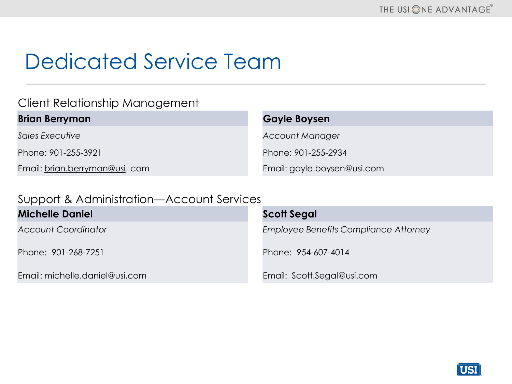# Dedicated Service Team

### Client Relationship Management

#### **Brian Berryman Gayle Boysen**

Phone: 901-255-3921 Phone: 901-255-2934

Email: [brian.berryman@usi.](mailto:brian.berryman@usi)com Email: gayle.boysen@usi.com

**Sales Executive** *Account Manager Account Manager* 

#### Support & Administration—Account Services

| <b>Michelle Daniel</b>         | Scott Segal                                  |
|--------------------------------|----------------------------------------------|
| <b>Account Coordinator</b>     | <b>Employee Benefits Compliance Attorney</b> |
| Phone: 901-268-7251            | Phone: 954-607-4014                          |
| Email: michelle.daniel@usi.com | Email: Scott.Segal@usi.com                   |

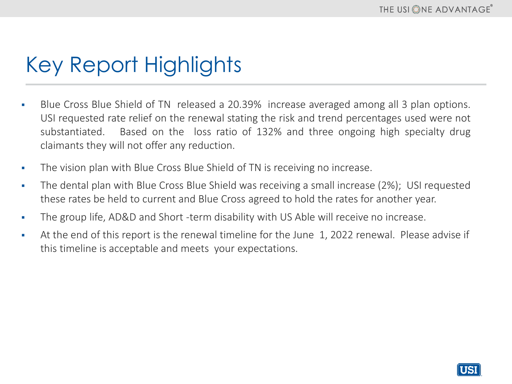# Key Report Highlights

- **Blue Cross Blue Shield of TN released a 20.39% increase averaged among all 3 plan options.** USI requested rate relief on the renewal stating the risk and trend percentages used were not substantiated. Based on the loss ratio of 132% and three ongoing high specialty drug claimants they will not offer any reduction.
- **•** The vision plan with Blue Cross Blue Shield of TN is receiving no increase.
- **•** The dental plan with Blue Cross Blue Shield was receiving a small increase (2%); USI requested these rates be held to current and Blue Cross agreed to hold the rates for another year.
- **•** The group life, AD&D and Short -term disability with US Able will receive no increase.
- **EXECT** At the end of this report is the renewal timeline for the June 1, 2022 renewal. Please advise if this timeline is acceptable and meets your expectations.

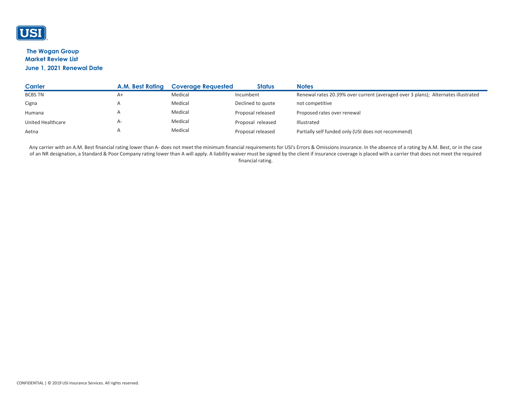

#### **The Wogan Group Market Review List June 1, 2021 Renewal Date**

| <b>Carrier</b>           | A.M. Best Rating | <b>Coverage Requested</b> | <b>Status</b>     | <b>Notes</b>                                                                      |
|--------------------------|------------------|---------------------------|-------------------|-----------------------------------------------------------------------------------|
| <b>BCBS TN</b>           | $A+$             | Medical                   | Incumbent         | Renewal rates 20.39% over current (averaged over 3 plans); Alternates illustrated |
| Cigna                    |                  | Medical                   | Declined to quote | not competitive                                                                   |
| Humana                   |                  | Medical                   | Proposal released | Proposed rates over renewal                                                       |
| <b>United Healthcare</b> | $A-$             | Medical                   | Proposal released | Illustrated                                                                       |
| Aetna                    |                  | Medical                   | Proposal released | Partially self funded only (USI does not recommend)                               |

Any carrier with an A.M. Best financial rating lower than A- does not meet the minimum financial requirements for USI's Errors & Omissions insurance. In the absence of a rating by A.M. Best, or in the case of an NR designation, a Standard & Poor Company rating lower than A will apply. A liability waiver must be signed by the client if insurance coverage is placed with a carrier that does not meet the required financial rating.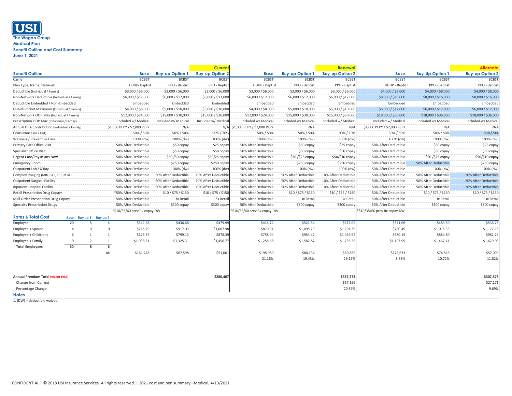## **USI The Wogan Group Medical Plan Benefit Outline and Cost Summary June 1, 2021**

1. (DW) = deductible waived

|                                               |                |                        |    |                              |                        | <b>Current</b>         |                                 |                        | <b>Renewal</b>         |                               |                        | <b>Alternate</b>       |
|-----------------------------------------------|----------------|------------------------|----|------------------------------|------------------------|------------------------|---------------------------------|------------------------|------------------------|-------------------------------|------------------------|------------------------|
| <b>Benefit Outline</b>                        |                |                        |    | <b>Base</b>                  | <b>Buy-up Option 1</b> | <b>Buy-up Option 2</b> | <b>Base</b>                     | <b>Buy-up Option 1</b> | <b>Buy-up Option 2</b> | <b>Base</b>                   | <b>Buy-Up Option 1</b> | <b>Buy-up Option 2</b> |
| Carrier                                       |                |                        |    | <b>BCBST</b>                 | <b>BCBST</b>           | <b>BCBST</b>           | <b>BCBST</b>                    | <b>BCBST</b>           | <b>BCBST</b>           | <b>BCBST</b>                  | <b>BCBST</b>           | <b>BCBST</b>           |
| Plan Type, Name, Network                      |                |                        |    | <b>HDHP-Baptist</b>          | PPO - Baptist          | PPO - Baptist          | HDHP - Baptist                  | PPO - Baptist          | PPO - Baptist          | HDHP - Baptist                | PPO - Baptist          | PPO - Baptist          |
| Deductible (Individual / Family)              |                |                        |    | \$3,000 / \$6,000            | \$3,000 / \$6,000      | \$3,000 / \$6,000      | \$3,000 / \$6,000               | \$3,000 / \$6,000      | \$3,000 / \$6,000      | \$4,000 / \$8,000             | \$4,000 / \$8,000      | \$4,000 / \$8,000      |
| Non-Network Deductible (Individual / Family)  |                |                        |    | \$6,000 / \$12,000           | \$6,000 / \$12,000     | \$6,000 / \$12,000     | \$6,000 / \$12,000              | \$6,000 / \$12,000     | \$6,000 / \$12,000     | \$8,000 / \$16,000            | \$8,000 / \$16,000     | \$8,000 / \$16,000     |
| Deductible Embedded / Non-Embedded            |                |                        |    | Embedded                     | Embedded               | Embedded               | Embedded                        | Embedded               | Embedded               | Embedded                      | Embedded               | Embedded               |
| Out-of-Pocket Maximum (Individual / Family)   |                |                        |    | \$4,000 / \$8,000            | \$5,000 / \$10,000     | \$5,000 / \$10,000     | \$4,000 / \$8,000               | \$5,000 / \$10,000     | \$5,000 / \$10,000     | \$6,000 / \$12,000            | \$6,000 / \$12,000     | \$6,000 / \$12,000     |
| Non-Network OOP Max (Individual / Family)     |                |                        |    | \$12,000 / \$24,000          | \$15,000 / \$30,000    | \$15,000 / \$30,000    | \$12,000 / \$24,000             | \$15,000 / \$30,000    | \$15,000 / \$30,000    | \$18,000 / \$36,000           | \$18,000 / \$36,000    | \$18,000 / \$36,000    |
| Prescription OOP Max (Individual / Family)    |                |                        |    | Included w/ Medical          | Included w/ Medical    | Included w/ Medical    | Included w/ Medical             | Included w/ Medical    | Included w/ Medical    | Included w/ Medical           | Included w/ Medical    | Included w/ Medical    |
| Annual HRA Contribution (Individual / Family) |                |                        |    | \$1,000 PEPY / \$2,000 PEPY  | N/A                    |                        | N/A \$1,000 PEPY / \$2,000 PEPY | N/A                    | N/A                    | \$1,000 PEPY / \$2,000 PEPY   | N/A                    | N/A                    |
| Coinsurance (In / Out)                        |                |                        |    | 50% / 50%                    | 50% / 50%              | 90% / 70%              | 50% / 50%                       | 50% / 50%              | 90% / 70%              | 50% / 50%                     | 50% / 50%              | 80%/20%                |
| Wellness / Preventive Care                    |                |                        |    | 100% (dw)                    | 100% (dw)              | 100% (dw)              | 100% (dw)                       | 100% (dw)              | 100% (dw)              | 100% (dw)                     | 100% (dw)              | 100% (dw)              |
| <b>Primary Care Office Visit</b>              |                |                        |    | 50% After Deductible         | \$50 copay             | \$25 copay             | 50% After Deductible            | \$50 copay             | \$25 copay             | 50% After Deductible          | \$50 copay             | \$25 copay             |
| <b>Specialist Office Visit</b>                |                |                        |    | 50% After Deductible         | \$50 copay             | \$50 copay             | 50% After Deductible            | \$50 copay             | \$50 copay             | 50% After Deductible          | \$50 copay             | \$50 copay             |
| <b>Urgent Care/Physicians Now</b>             |                |                        |    | 50% After Deductible         | \$50/50 copay          | \$50/25 copay          | 50% After Deductible            | \$50/\$25 copay        | \$50/\$10 copay        | 50% After Deductible          | \$50/\$25 copay        | \$50/\$10 copay        |
| <b>Emergency Room</b>                         |                |                        |    | 50% After Deductible         | \$250 copay            | \$250 copay            | 50% After Deductible            | $$250$ copay           | \$250 copay            | 50% After Deductible          | 50% After Deductible   | $$250$ copay           |
| Outpatient Lab / X-Ray                        |                |                        |    | 50% After Deductible         | 100% (dw)              | 100% (dw)              | 50% After Deductible            | 100% (dw)              | 100% (dw)              | 50% After Deductible          | 100% (dw)              | 100% (dw)              |
| Complex Imaging (MRI, CAT, PET, et.al.)       |                |                        |    | 50% After Deductible         | 50% After Deductible   | 10% After Deductible   | 50% After Deductible            | 50% After Deductible   | 10% After Deductible   | 50% After Deductible          | 50% After Deductible   | 20% After Deductible   |
| <b>Outpatient Surgical Facility</b>           |                |                        |    | 50% After Deductible         | 50% After Deductible   | 10% After Deductible   | 50% After Deductible            | 50% After Deductible   | 10% After Deductible   | 50% After Deductible          | 50% After Deductible   | 20% After Deductible   |
| <b>Inpatient Hospital Facility</b>            |                |                        |    | 50% After Deductible         | 50% After Deductible   | 10% After Deductible   | 50% After Deductible            | 50% After Deductible   | 10% After Deductible   | 50% After Deductible          | 50% After Deductible   | 20% After Deductible   |
| <b>Retail Prescription Drug Copays</b>        |                |                        |    | *50% After Deductible        | \$10 / \$75 / \$150    | \$10/\$75/\$150        | 50% After Deductible            | \$10/\$75/\$150        | \$10 / \$75 / \$150    | 50% After Deductible          | \$10 / \$75 / \$150    | \$10 / \$75 / \$150    |
| <b>Mail Order Prescription Drug Copays</b>    |                |                        |    | 50% After Deductible         | 3x Retail              | 3x Retail              | 50% After Deductible            | 3x Retail              | 3x Retail              | 50% After Deductible          | 3x Retail              | 3x Retail              |
| <b>Specialty Prescription Drugs</b>           |                |                        |    | 50% After Deductible         | \$300 copay            | \$300 copay            | 50% After Deductible            | \$300 copay            | $$300$ copay           | 50% After Deductible          | \$300 copay            | \$300 copay            |
|                                               |                |                        |    | *\$10/35/60 prev Rx copay,DW |                        |                        | *\$10/35/60 prev Rx copay,DW    |                        |                        | *\$10/35/60 prev Rx copay, DW |                        |                        |
| <b>Rates &amp; Total Cost</b>                 |                | Base Buy up 1 Buy up 2 |    |                              |                        |                        |                                 |                        |                        |                               |                        |                        |
| Employee                                      | 20             |                        |    | \$342.28                     | \$436.68               | \$479.99               | \$414.72                        | \$521.54               | \$572.09               | \$371.66                      | \$483.50               | \$536.75               |
| Employee + Spouse                             |                |                        |    | \$718.79                     | \$917.03               | \$1,007.98             | \$870.91                        | \$1,095.23             | \$1,201.39             | \$780.49                      | \$1,015.35             | \$1,127.18             |
| Employee + Child(ren)                         | 6              |                        |    | \$626.37                     | \$799.13               | \$878.39               | \$758.94                        | \$954.42               | \$1,046.92             | \$680.15                      | \$884.80               | \$982.25               |
| Employee + Family                             | $\overline{0}$ |                        |    | \$1,038.81                   | \$1,325.31             | \$1,456.77             | \$1,258.68                      | \$1,582.87             | \$1,736.29             | \$1,127.99                    | \$1,467.41             | \$1,629.03             |
| <b>Total Employees</b>                        | 30             | 8                      |    |                              |                        |                        |                                 |                        |                        |                               |                        |                        |
|                                               |                |                        | 44 | \$161,748                    | \$67,598               | \$51,061               | \$195,980                       | \$80,734               | \$60,859               | \$175,633                     | \$74,845               | \$57,099               |
|                                               |                |                        |    |                              |                        |                        | 21.16%                          | 19.43%                 | 19.19%                 | 8.58%                         | 10.72%                 | 11.82%                 |
|                                               |                |                        |    |                              |                        |                        |                                 |                        |                        |                               |                        |                        |
| <b>Annual Premium Total (w/out HRA)</b>       |                |                        |    |                              |                        | \$280,407              |                                 |                        | \$337,573              |                               |                        | \$307,578              |
| Change from Current                           |                |                        |    |                              |                        |                        |                                 |                        | \$57,166               |                               |                        | \$27,171               |
| Percentage Change                             |                |                        |    |                              |                        |                        |                                 |                        | 20.39%                 |                               |                        | 9.69%                  |
| <b>Notes</b>                                  |                |                        |    |                              |                        |                        |                                 |                        |                        |                               |                        |                        |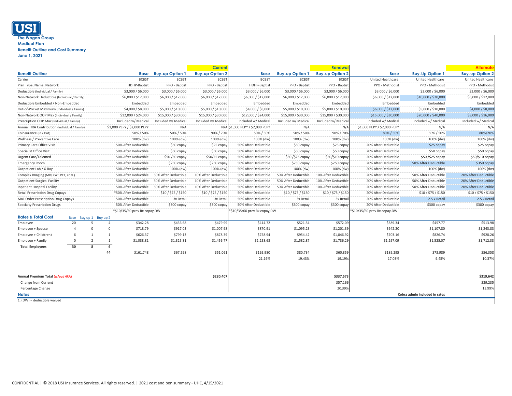## **USI The Wogan Group Medical Plan Benefit Outline and Cost Summary June 1, 2021**

|                                               |    |                        |                              |                             |                        | <b>Current</b>               |                                 |                        | <b>Renewal</b>                |                             |                               | <b>Alternate</b>       |
|-----------------------------------------------|----|------------------------|------------------------------|-----------------------------|------------------------|------------------------------|---------------------------------|------------------------|-------------------------------|-----------------------------|-------------------------------|------------------------|
| <b>Benefit Outline</b>                        |    |                        |                              | <b>Base</b>                 | <b>Buy-up Option 1</b> | <b>Buy-up Option 2</b>       | <b>Base</b>                     | <b>Buy-up Option 1</b> | <b>Buy-up Option 2</b>        | <b>Base</b>                 | <b>Buy-Up Option 1</b>        | <b>Buy-up Option 2</b> |
| Carrier                                       |    |                        |                              | <b>BCBST</b>                | <b>BCBST</b>           | <b>BCBST</b>                 | <b>BCBST</b>                    | <b>BCBST</b>           | <b>BCBST</b>                  | United Healthcare           | United Healthcare             | United Healthcare      |
| Plan Type, Name, Network                      |    |                        |                              | HDHP-Baptist                | PPO - Baptist          | PPO - Baptist                | HDHP-Baptist                    | PPO - Baptist          | PPO - Baptist                 | PPO - Methodist             | PPO - Methodist               | PPO - Methodist        |
| Deductible (Individual / Family)              |    |                        |                              | \$3,000 / \$6,000           | \$3,000 / \$6,000      | \$3,000 / \$6,000            | \$3,000 / \$6,000               | \$3,000 / \$6,000      | \$3,000 / \$6,000             | \$3,000 / \$6,000           | \$3,000 / \$6,000             | \$3,000 / \$6,000      |
| Non-Network Deductible (Individual / Family)  |    |                        |                              | \$6,000 / \$12,000          | \$6,000 / \$12,000     | \$6,000 / \$12,000           | \$6,000 / \$12,000              | \$6,000 / \$12,000     | \$6,000 / \$12,000            | \$6,000 / \$12,000          | \$10,000 / \$20,000           | \$6,000 / \$12,000     |
| Deductible Embedded / Non-Embedded            |    |                        |                              | Embedded                    | Embedded               | Embedded                     | Embedded                        | Embedded               | Embedded                      | Embedded                    | Embedded                      | Embedded               |
| Out-of-Pocket Maximum (Individual / Family)   |    |                        |                              | \$4,000 / \$8,000           | \$5,000 / \$10,000     | \$5,000 / \$10,000           | \$4,000 / \$8,000               | \$5,000 / \$10,000     | \$5,000 / \$10,000            | \$6,000 / \$12,000          | \$5,000 / \$10,000            | \$4,000 / \$8,000      |
| Non-Network OOP Max (Individual / Family)     |    |                        |                              | \$12,000 / \$24,000         | \$15,000 / \$30,000    | \$15,000 / \$30,000          | \$12,000 / \$24,000             | \$15,000 / \$30,000    | \$15,000 / \$30,000           | \$15,000 / \$30,000         | \$20,000 / \$40,000           | \$8,000 / \$16,000     |
| Prescription OOP Max (Individual / Family)    |    |                        |                              | Included w/ Medical         | Included w/ Medical    | Included w/ Medical          | Included w/ Medical             | Included w/ Medical    | Included w/ Medica            | Included w/ Medical         | Included w/ Medical           | Included w/ Medical    |
| Annual HRA Contribution (Individual / Family) |    |                        |                              | \$1,000 PEPY / \$2,000 PEPY | N/A                    |                              | N/A \$1,000 PEPY / \$2,000 PEPY | N/A                    | $N/\ell$                      | \$1,000 PEPY / \$2,000 PEPY | N/A                           | N/A                    |
| Coinsurance (In / Out)                        |    |                        |                              | 50% / 50%                   | 50% / 50%              | 90% / 70%                    | 50% / 50%                       | 50% / 50%              | 90% / 70%                     | 80% / 50%                   | 50% / 50%                     | 80%/20%                |
| Wellness / Preventive Care                    |    |                        |                              | 100% (dw)                   | 100% (dw)              | 100% (dw)                    | 100% (dw)                       | 100% (dw)              | 100% (dw)                     | 100% (dw)                   | 100% (dw)                     | 100% (dw)              |
| <b>Primary Care Office Visit</b>              |    |                        |                              | 50% After Deductible        | \$50 copay             | \$25 copay                   | 50% After Deductible            | $$50$ copay            | \$25 copay                    | 20% After Deductible        | $$25$ copay                   | \$25 copay             |
| <b>Specialist Office Visit</b>                |    |                        |                              | 50% After Deductible        | \$50 copay             | \$50 copay                   | 50% After Deductible            | \$50 copay             | \$50 copay                    | 20% After Deductible        | \$50 copay                    | \$50 copay             |
| <b>Urgent Care/Telemed</b>                    |    |                        |                              | 50% After Deductible        | \$50/50 copay          | $$50/25$ copay               | 50% After Deductible            | \$50/\$25 copay        | \$50/\$10 copay               | 20% After Deductible        | \$50/\$25 copay               | \$50/\$10 copay        |
| <b>Emergency Room</b>                         |    |                        |                              | 50% After Deductible        | \$250 copay            | $$250$ copay                 | 50% After Deductible            | $$250$ copay           | \$250 copay                   | 20% After Deductible        | 50% After Deductible          | $$350$ copay           |
| Outpatient Lab / X-Ray                        |    |                        |                              | 50% After Deductible        | 100% (dw)              | 100% (dw)                    | 50% After Deductible            | 100% (dw)              | 100% (dw)                     | 20% After Deductible        | 100% (dw)                     | 100% (dw)              |
| Complex Imaging (MRI, CAT, PET, et.al.)       |    |                        |                              | 50% After Deductible        | 50% After Deductible   | 10% After Deductible         | 50% After Deductible            | 50% After Deductible   | 10% After Deductible          | 20% After Deductible        | 50% After Deductible          | 20% After Deductible   |
| <b>Outpatient Surgical Facility</b>           |    |                        |                              | 50% After Deductible        | 50% After Deductible   | 10% After Deductible         | 50% After Deductible            | 50% After Deductible   | 10% After Deductible          | 20% After Deductible        | 50% After Deductible          | 20% After Deductible   |
| <b>Inpatient Hospital Facility</b>            |    |                        |                              | 50% After Deductible        | 50% After Deductible   | 10% After Deductible         | 50% After Deductible            | 50% After Deductible   | 10% After Deductible          | 20% After Deductible        | 50% After Deductible          | 20% After Deductible   |
| <b>Retail Prescription Drug Copays</b>        |    |                        |                              | *50% After Deductible       | \$10 / \$75 / \$150    | \$10 / \$75 / \$150          | 50% After Deductible            | \$10/\$75/\$150        | \$10 / \$75 / \$150           | 20% After Deductible        | \$10 / \$75 / \$150           | \$10 / \$75 / \$150    |
| Mail Order Prescription Drug Copays           |    |                        |                              | 50% After Deductible        | 3x Retail              | 3x Retail                    | 50% After Deductible            | 3x Retail              | 3x Retail                     | 20% After Deductible        | 2.5 x Retail                  | 2.5 x Retail           |
| <b>Specialty Prescription Drugs</b>           |    |                        |                              | 50% After Deductible        | $$300$ copay           | \$300 copay                  | 50% After Deductible            | \$300 copay            | $$300$ copay                  | 20% After Deductible        | $$300$ copay                  | $$300$ copay           |
|                                               |    |                        | *\$10/35/60 prev Rx copay,DW |                             |                        | *\$10/35/60 prev Rx copay,DW |                                 |                        | *\$10/35/60 prev Rx copay, DW |                             |                               |                        |
| <b>Rates &amp; Total Cost</b>                 |    | Base Buy up 1 Buy up 2 |                              |                             |                        |                              |                                 |                        |                               |                             |                               |                        |
| Employee                                      | 20 |                        |                              | \$342.28                    | \$436.68               | \$479.99                     | \$414.72                        | \$521.54               | \$572.09                      | \$389.34                    | \$457.77                      | \$513.98               |
| Employee + Spouse                             |    |                        | 0                            | \$718.79                    | \$917.03               | \$1,007.98                   | \$870.91                        | \$1,095.23             | \$1,201.39                    | \$942.20                    | \$1,107.80                    | \$1,243.83             |
| Employee + Child(ren)                         | 6  |                        |                              | \$626.37                    | \$799.13               | \$878.39                     | \$758.94                        | \$954.42               | \$1,046.92                    | \$703.16                    | \$826.74                      | \$928.26               |
| Employee + Family                             |    |                        |                              | \$1,038.81                  | \$1,325.31             | \$1,456.77                   | \$1,258.68                      | \$1,582.87             | \$1,736.29                    | \$1,297.09                  | \$1,525.07                    | \$1,712.33             |
| <b>Total Employees</b>                        | 30 |                        |                              |                             |                        |                              |                                 |                        |                               |                             |                               |                        |
|                                               |    |                        | 44                           | \$161,748                   | \$67,598               | \$51,061                     | \$195,980                       | \$80,734               | \$60,859                      | \$189,295                   | \$73,989                      | \$56,358               |
|                                               |    |                        |                              |                             |                        |                              | 21.16%                          | 19.43%                 | 19.19%                        | 17.03%                      | 9.45%                         | 10.37%                 |
|                                               |    |                        |                              |                             |                        |                              |                                 |                        |                               |                             |                               |                        |
| <b>Annual Premium Total (w/out HRA)</b>       |    |                        |                              |                             |                        | \$280,407                    |                                 |                        | \$337,573                     |                             |                               | \$319,642              |
| Change from Current                           |    |                        |                              |                             |                        |                              |                                 |                        | \$57,166                      |                             |                               | \$39,235               |
| Percentage Change                             |    |                        |                              |                             |                        |                              |                                 |                        | 20.39%                        |                             |                               | 13.99%                 |
| <b>Notes</b>                                  |    |                        |                              |                             |                        |                              |                                 |                        |                               |                             | Cobra admin included in rates |                        |

1. (DW) = deductible waived